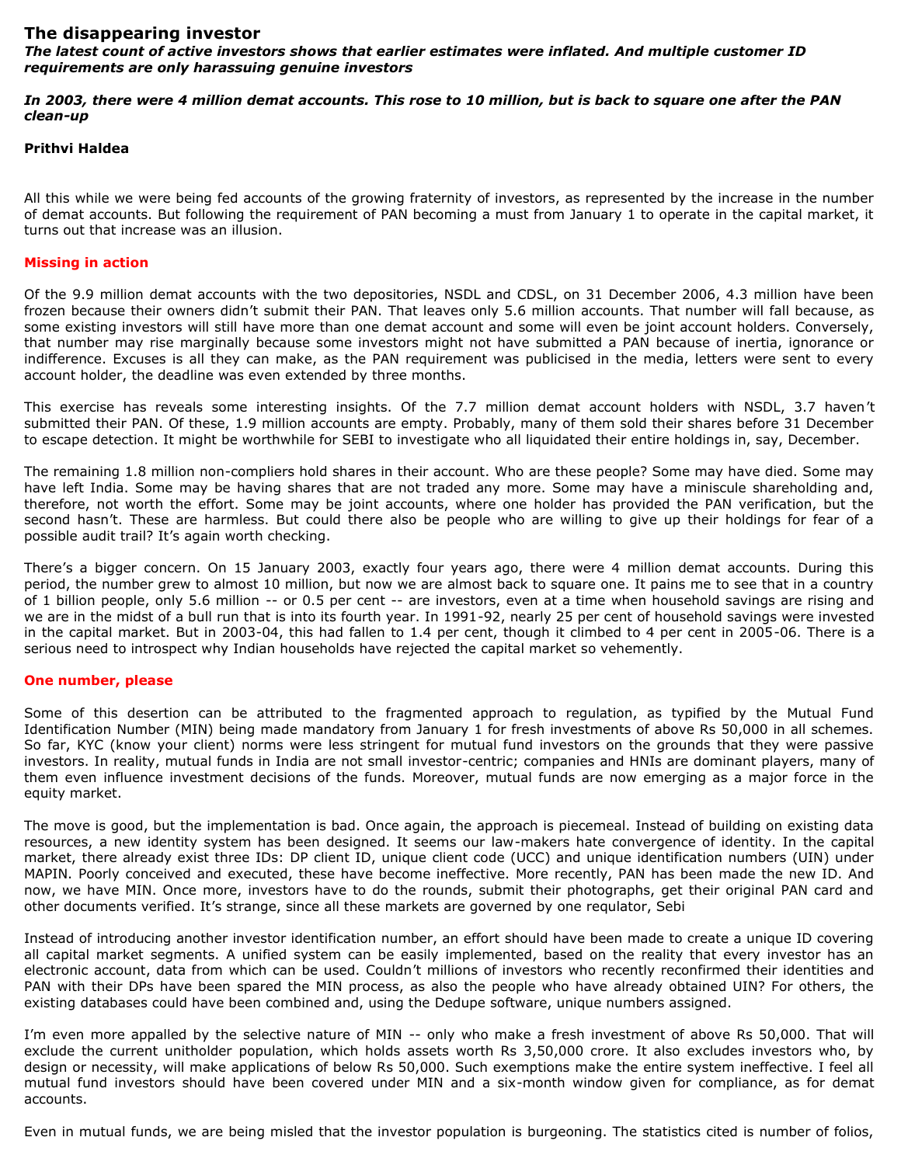## **The disappearing investor**

*The latest count of active investors shows that earlier estimates were inflated. And multiple customer ID requirements are only harassuing genuine investors*

*In 2003, there were 4 million demat accounts. This rose to 10 million, but is back to square one after the PAN clean-up*

## **Prithvi Haldea**

All this while we were being fed accounts of the growing fraternity of investors, as represented by the increase in the number of demat accounts. But following the requirement of PAN becoming a must from January 1 to operate in the capital market, it turns out that increase was an illusion.

## **Missing in action**

Of the 9.9 million demat accounts with the two depositories, NSDL and CDSL, on 31 December 2006, 4.3 million have been frozen because their owners didn't submit their PAN. That leaves only 5.6 million accounts. That number will fall because, as some existing investors will still have more than one demat account and some will even be joint account holders. Conversely, that number may rise marginally because some investors might not have submitted a PAN because of inertia, ignorance or indifference. Excuses is all they can make, as the PAN requirement was publicised in the media, letters were sent to every account holder, the deadline was even extended by three months.

This exercise has reveals some interesting insights. Of the 7.7 million demat account holders with NSDL, 3.7 haven't submitted their PAN. Of these, 1.9 million accounts are empty. Probably, many of them sold their shares before 31 December to escape detection. It might be worthwhile for SEBI to investigate who all liquidated their entire holdings in, say, December.

The remaining 1.8 million non-compliers hold shares in their account. Who are these people? Some may have died. Some may have left India. Some may be having shares that are not traded any more. Some may have a miniscule shareholding and, therefore, not worth the effort. Some may be joint accounts, where one holder has provided the PAN verification, but the second hasn't. These are harmless. But could there also be people who are willing to give up their holdings for fear of a possible audit trail? It's again worth checking.

There's a bigger concern. On 15 January 2003, exactly four years ago, there were 4 million demat accounts. During this period, the number grew to almost 10 million, but now we are almost back to square one. It pains me to see that in a country of 1 billion people, only 5.6 million -- or 0.5 per cent -- are investors, even at a time when household savings are rising and we are in the midst of a bull run that is into its fourth year. In 1991-92, nearly 25 per cent of household savings were invested in the capital market. But in 2003-04, this had fallen to 1.4 per cent, though it climbed to 4 per cent in 2005-06. There is a serious need to introspect why Indian households have rejected the capital market so vehemently.

## **One number, please**

Some of this desertion can be attributed to the fragmented approach to regulation, as typified by the Mutual Fund Identification Number (MIN) being made mandatory from January 1 for fresh investments of above Rs 50,000 in all schemes. So far, KYC (know your client) norms were less stringent for mutual fund investors on the grounds that they were passive investors. In reality, mutual funds in India are not small investor-centric; companies and HNIs are dominant players, many of them even influence investment decisions of the funds. Moreover, mutual funds are now emerging as a major force in the equity market.

The move is good, but the implementation is bad. Once again, the approach is piecemeal. Instead of building on existing data resources, a new identity system has been designed. It seems our law-makers hate convergence of identity. In the capital market, there already exist three IDs: DP client ID, unique client code (UCC) and unique identification numbers (UIN) under MAPIN. Poorly conceived and executed, these have become ineffective. More recently, PAN has been made the new ID. And now, we have MIN. Once more, investors have to do the rounds, submit their photographs, get their original PAN card and other documents verified. It's strange, since all these markets are governed by one requlator, Sebi

Instead of introducing another investor identification number, an effort should have been made to create a unique ID covering all capital market segments. A unified system can be easily implemented, based on the reality that every investor has an electronic account, data from which can be used. Couldn't millions of investors who recently reconfirmed their identities and PAN with their DPs have been spared the MIN process, as also the people who have already obtained UIN? For others, the existing databases could have been combined and, using the Dedupe software, unique numbers assigned.

I'm even more appalled by the selective nature of MIN -- only who make a fresh investment of above Rs 50,000. That will exclude the current unitholder population, which holds assets worth Rs 3,50,000 crore. It also excludes investors who, by design or necessity, will make applications of below Rs 50,000. Such exemptions make the entire system ineffective. I feel all mutual fund investors should have been covered under MIN and a six-month window given for compliance, as for demat accounts.

Even in mutual funds, we are being misled that the investor population is burgeoning. The statistics cited is number of folios,